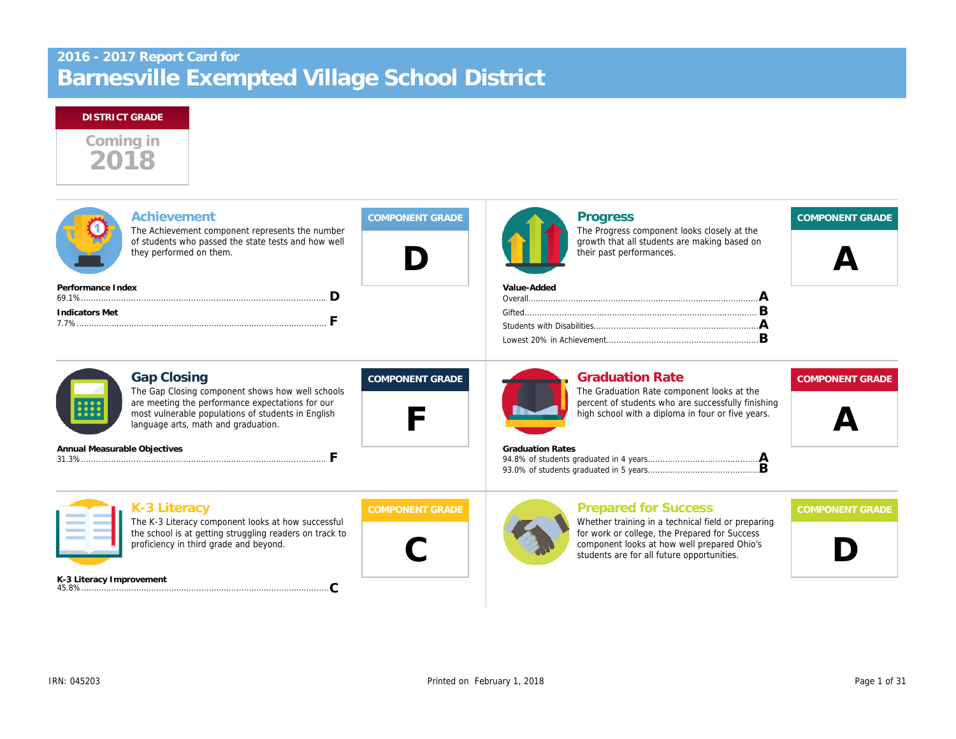# Barnesville Exempted Village School District 2016 - 2017 Report Card for

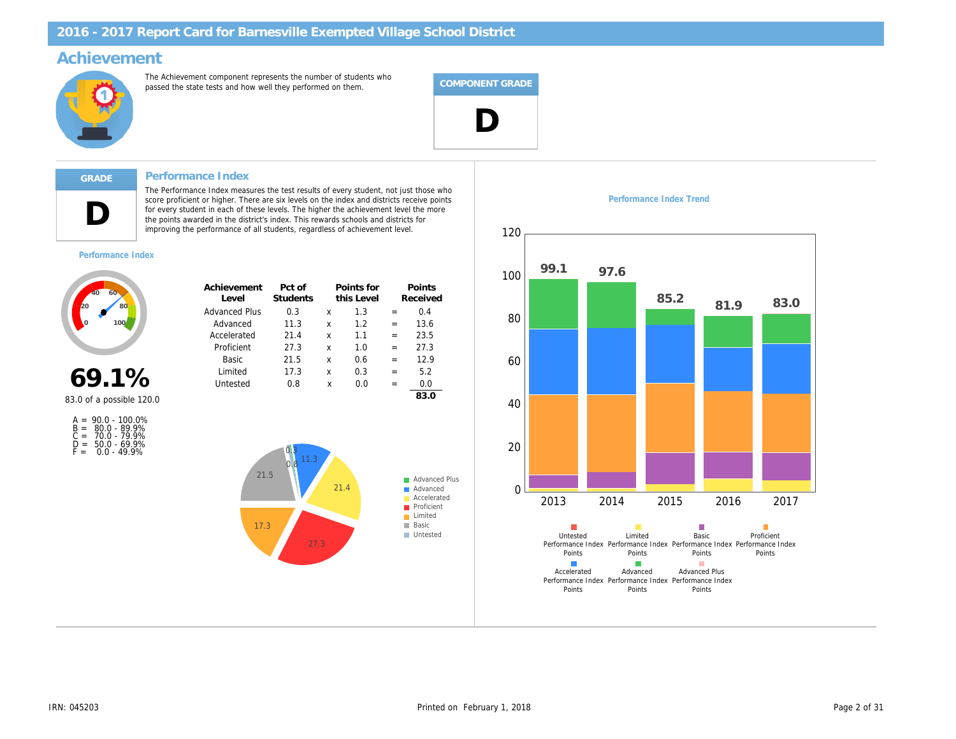### Achievement

The Achievement component represents the number of students who passed the state tests and how well they performed on them.



### Performance Index

Advanced Plus Advanced Accelerated Proficient Basic Limited Untested

Achievement Level

The Performance Index measures the test results of every student, not just those who score proficient or higher. There are six levels on the index and districts receive points for every student in each of these levels. The higher the achievement level the more the points awarded in the district's index. This rewards schools and districts for improving the performance of all students, regardless of achievement level.

> 11.3 21.4 27.3 21.5 17.3 0.8

Pct of Students

0.3  $\times$  1.3 = 0.4

Points for this Level

> 1.2 1.1 1.0 0.6 0.3 0.0

x x

x x x x

= =

= = = =

13.6 23.5 27.3 12.9 5.2 0.0 83.0

Points Received Performance Index Trend



D

Performance Index

69.1%

83.0 of a possible 120.0

| $A =$ | $90.0 - 100.0\%$   |
|-------|--------------------|
|       | $B = 80.0 - 89.9%$ |
| $C =$ | 70.0 - 79.9%       |
| D =   | $50.0 - 69.9%$     |
| F =   | $0.0 - 49.9%$      |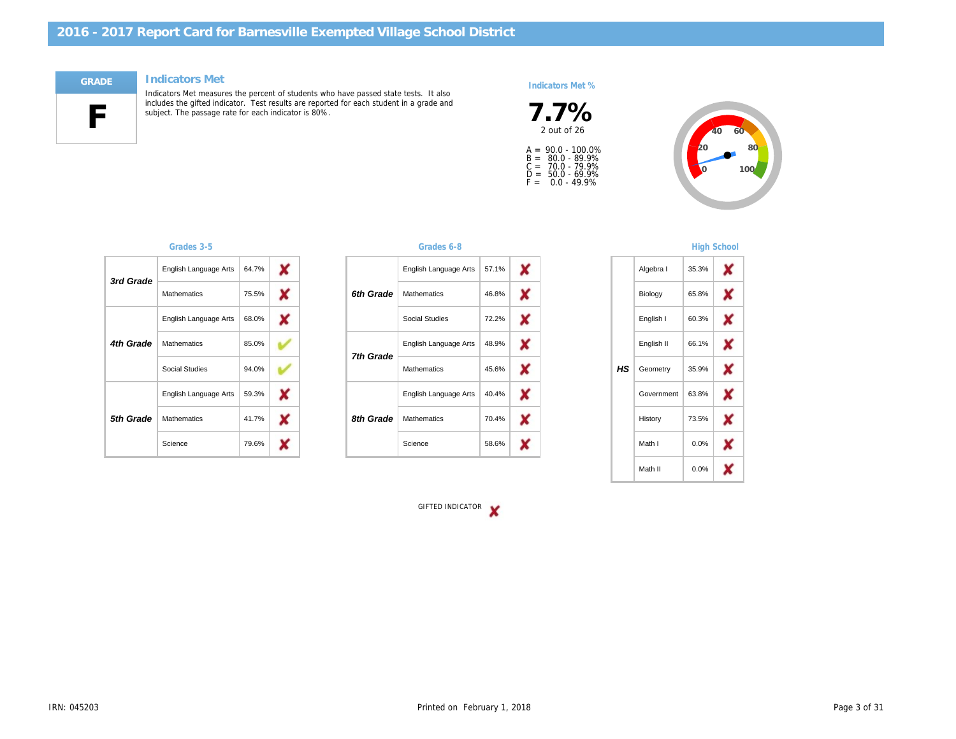#### Indicators Met



Indicators Met measures the percent of students who have passed state tests. It also includes the gifted indicator. Test results are reported for each student in a grade and subject. The passage rate for each indicator is 80%.

#### Indicators Met %



A =<br>B =<br>C =<br>D =<br>F = 90.0 - 100.0% 80.0 - 89.9% 70.0 - 79.9% 50.0 - 69.9% 0.0 - 49.9%

| 3rd Grade | English Language Arts | 64.7% |
|-----------|-----------------------|-------|
|           | <b>Mathematics</b>    | 75.5% |
| 4th Grade | English Language Arts | 68.0% |
|           | <b>Mathematics</b>    | 85.0% |
|           | Social Studies        | 94.0% |
| 5th Grade | English Language Arts | 59.3% |
|           | <b>Mathematics</b>    | 41.7% |
|           | Science               | 79.6% |

#### Grades 3-5 Grades 6-8

| 6th Grade | English Language Arts | 57.1% |
|-----------|-----------------------|-------|
|           | <b>Mathematics</b>    | 46.8% |
|           | Social Studies        | 72.2% |
| 7th Grade | English Language Arts | 48.9% |
|           | <b>Mathematics</b>    | 45.6% |
| 8th Grade | English Language Arts | 40.4% |
|           | <b>Mathematics</b>    | 70.4% |
|           | Science               | 58.6% |

### **High Schoo**

|     | Algebra I  | 35.3% |  |
|-----|------------|-------|--|
|     | Biology    | 65.8% |  |
|     | English I  | 60.3% |  |
|     | English II | 66.1% |  |
| HS. | Geometry   | 35.9% |  |
|     | Government | 63.8% |  |
|     | History    | 73.5% |  |
|     | Math I     | 0.0%  |  |
|     | Math II    | 0.0%  |  |
|     |            |       |  |

GIFTED INDICATOR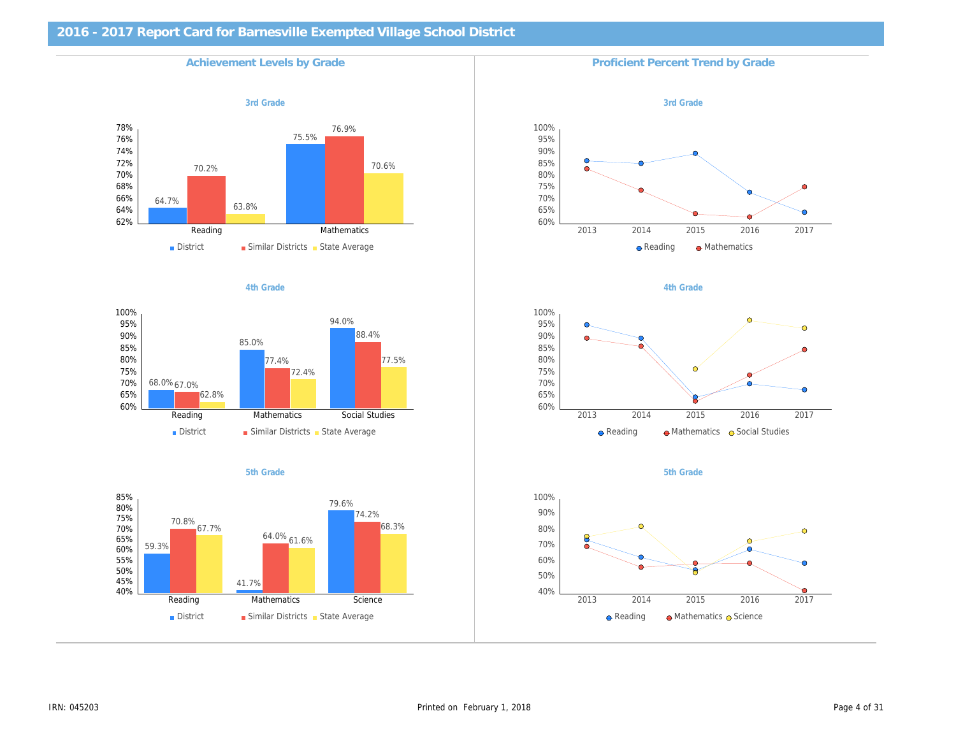| <b>Achievement Levels by Grade</b> | Proficient Percent Trend by Gra |
|------------------------------------|---------------------------------|
| 3rd Grade                          | 3rd Grade                       |
|                                    |                                 |
|                                    |                                 |
|                                    |                                 |
|                                    |                                 |
|                                    |                                 |
| 4th Grade                          | 4th Grade                       |
|                                    |                                 |
|                                    |                                 |
|                                    |                                 |
|                                    |                                 |
|                                    |                                 |
| 5th Grade                          | 5th Grade                       |
|                                    |                                 |
|                                    |                                 |
|                                    |                                 |
|                                    |                                 |
|                                    |                                 |
|                                    |                                 |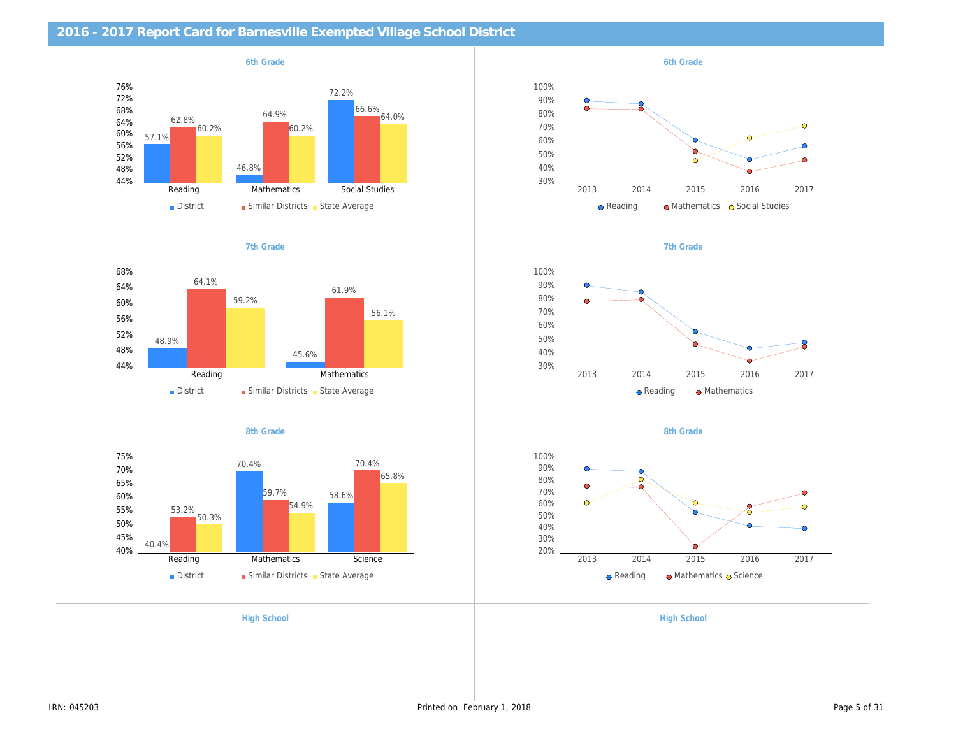| 2016 - 2017 Report Card for Barnesville Exempted Village School District |                    |
|--------------------------------------------------------------------------|--------------------|
| 6th Grade                                                                | 6th Grade          |
|                                                                          |                    |
|                                                                          |                    |
|                                                                          |                    |
| 7th Grade                                                                | 7th Grade          |
|                                                                          |                    |
|                                                                          |                    |
|                                                                          |                    |
| 8th Grade                                                                | 8th Grade          |
|                                                                          |                    |
|                                                                          |                    |
|                                                                          |                    |
| <b>High School</b>                                                       | <b>High School</b> |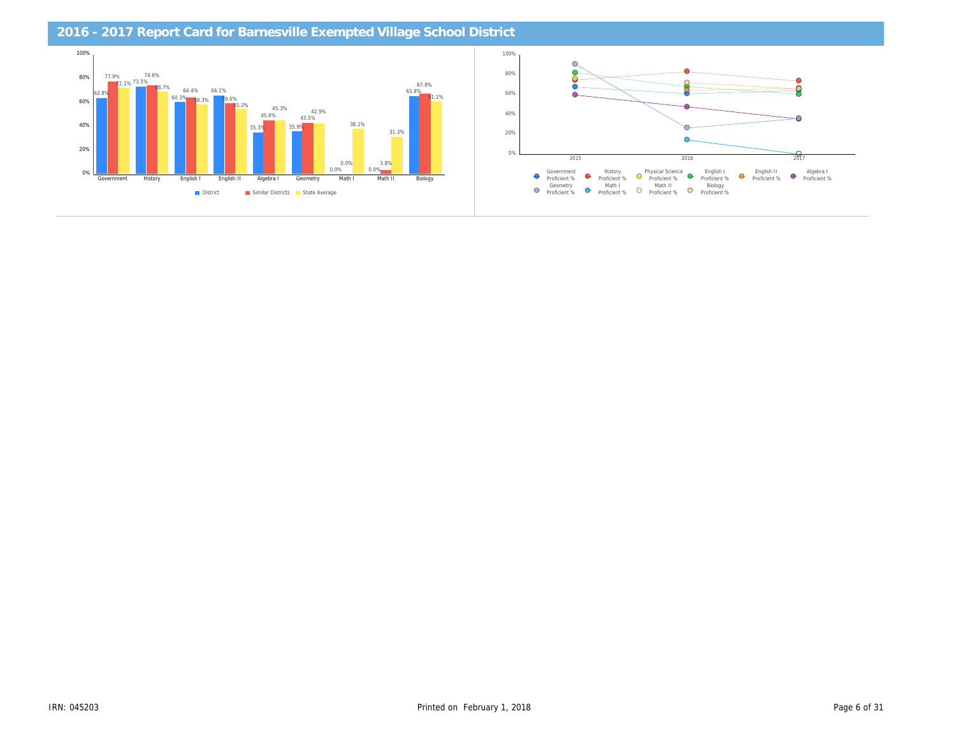| 2016 - 2017 Report Card for Barnesville Exempted Village School District |  |  |  |  |
|--------------------------------------------------------------------------|--|--|--|--|
|                                                                          |  |  |  |  |
|                                                                          |  |  |  |  |
|                                                                          |  |  |  |  |
|                                                                          |  |  |  |  |
|                                                                          |  |  |  |  |
|                                                                          |  |  |  |  |
|                                                                          |  |  |  |  |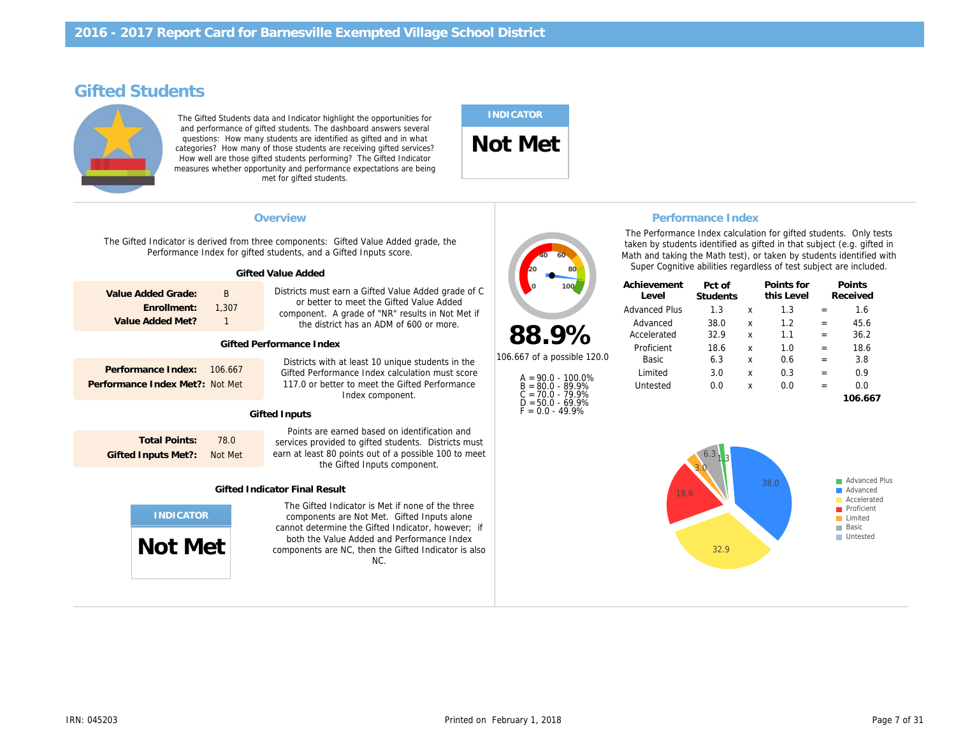# Gifted Students

The Gifted Students data and Indicator highlight the opportunities for and performance of gifted students. The dashboard answers several questions: How many students are identified as gifted and in what categories? How many of those students are receiving gifted services? How well are those gifted students performing? The Gifted Indicator measures whether opportunity and performance expectations are being met for gifted students.

# INDICATOR

Not Met

| Overview<br>The Gifted Indicator is derived from three components: Gifted Value Added grade, the<br>Performance Index for gifted students, and a Gifted Inputs score.<br><b>Gifted Value Added</b> |                            |                                                                                                                                                                                                                                                                    |                                                              | The Performance Index cald<br>taken by students identified<br>Math and taking the Math tes<br>Super Cognitive abilities re | <b>Performance Inde</b>                          |
|----------------------------------------------------------------------------------------------------------------------------------------------------------------------------------------------------|----------------------------|--------------------------------------------------------------------------------------------------------------------------------------------------------------------------------------------------------------------------------------------------------------------|--------------------------------------------------------------|----------------------------------------------------------------------------------------------------------------------------|--------------------------------------------------|
| Value Added Grade:<br>Enrollment:<br>Value Added Met?                                                                                                                                              | B<br>1,307<br>$\mathbf{1}$ | Districts must earn a Gifted Value Added grade of C<br>or better to meet the Gifted Value Added<br>component. A grade of "NR" results in Not Met if<br>the district has an ADM of 600 or more.                                                                     |                                                              | Achievement<br>Level<br><b>Advanced Plus</b><br>Advanced                                                                   | Pct of<br><b>Students</b><br>1.3<br>38.0<br>32.9 |
| <b>Gifted Performance Index</b>                                                                                                                                                                    |                            |                                                                                                                                                                                                                                                                    |                                                              | Proficient                                                                                                                 | 18.6                                             |
| Performance Index:                                                                                                                                                                                 | 106,667<br>Not Met         | Districts with at least 10 unique students in the<br>Gifted Performance Index calculation must score<br>$A = 90.0 - 100.0\%$<br>117.0 or better to meet the Gifted Performance<br>$B = 80.0 - 89.9%$<br>$C = 70.0 - 79.9%$<br>Index component.                     |                                                              | 6.3<br>Basic<br>3.0<br>Limited<br>0.0<br>Untested                                                                          |                                                  |
|                                                                                                                                                                                                    |                            |                                                                                                                                                                                                                                                                    | $F = 0.0 - 49.9%$                                            |                                                                                                                            |                                                  |
| <b>Total Points:</b><br><b>Gifted Inputs Met?:</b>                                                                                                                                                 | 78.0<br>Not Met            | Points are earned based on identification and<br>services provided to gifted students. Districts must<br>earn at least 80 points out of a possible 100 to meet<br>the Gifted Inputs component.                                                                     |                                                              |                                                                                                                            |                                                  |
|                                                                                                                                                                                                    |                            |                                                                                                                                                                                                                                                                    |                                                              |                                                                                                                            |                                                  |
|                                                                                                                                                                                                    |                            | The Gifted Indicator is Met if none of the three<br>components are Not Met. Gifted Inputs alone<br>cannot determine the Gifted Indicator, however; if<br>both the Value Added and Performance Index<br>components are NC, then the Gifted Indicator is also<br>NC. |                                                              |                                                                                                                            |                                                  |
|                                                                                                                                                                                                    | Performance Index Met?:    | Not Met                                                                                                                                                                                                                                                            | <b>Gifted Inputs</b><br><b>Gifted Indicator Final Result</b> | 88.9%<br>106.667 of a possible 120.0<br>$D = 50.0 - 69.9%$                                                                 | Accelerated                                      |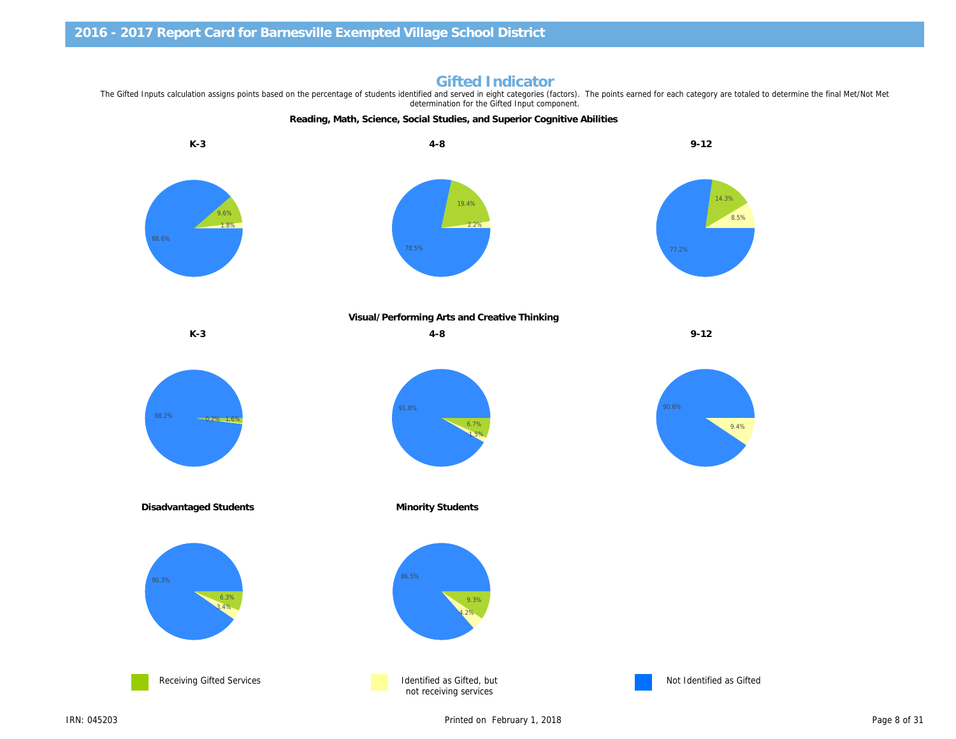Visual/Performing Arts and Creative Thinking

Gifted Indicator

determination for the Gifted Input component.

K-3 9-12

The Gifted Inputs calculation assigns points based on the percentage of students identified and served in eight categories (factors). The points earned for each category are to

Reading, Math, Science, Social Studies, and Superior Cognitive Abilities

K-3 4-8 9-12

Disadvantaged Students **Minority Students** Minority Students



Not Identified as 0

IRN: 045203 Printed on February 1, 2018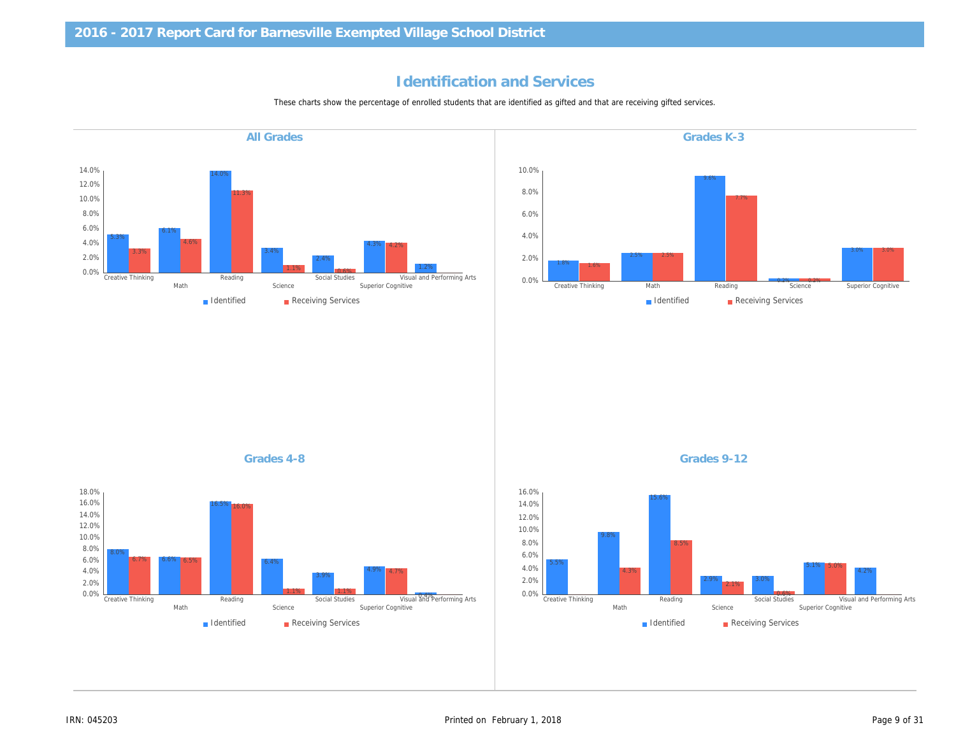# Identification and Services

These charts show the percentage of enrolled students that are identified as gifted and that are receiving gifted services.

Grades K-3 Grades 4-8 Grades 9-12 All Grades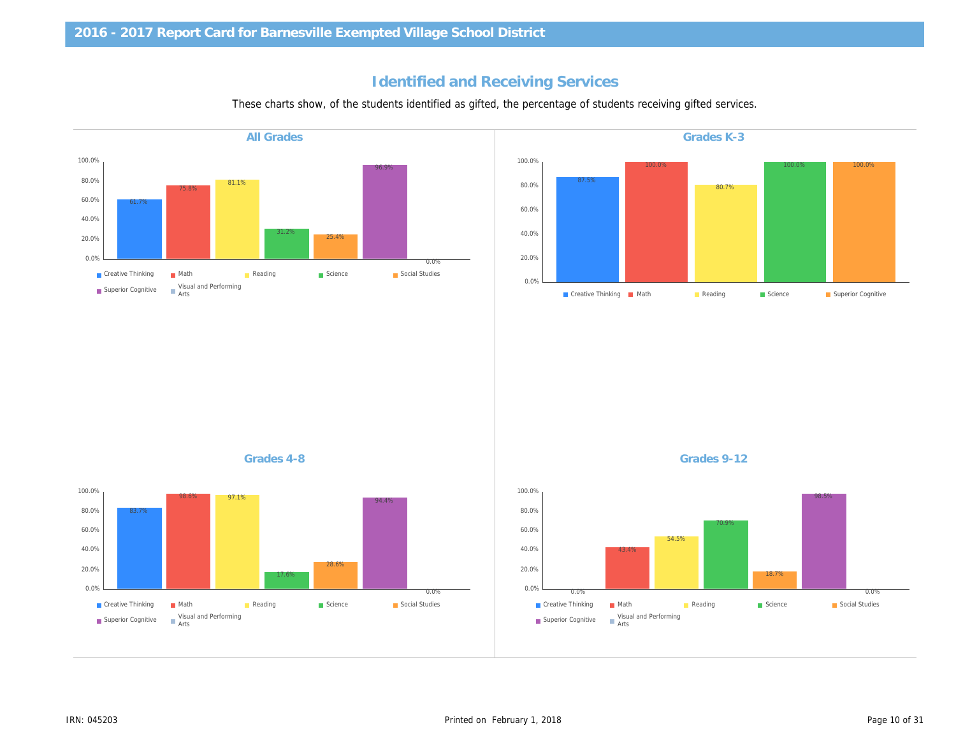# Identified and Receiving Services

These charts show, of the students identified as gifted, the percentage of students receiving gifted service

Grades K-3 Grades 4-8 Grades 9-12 All Grades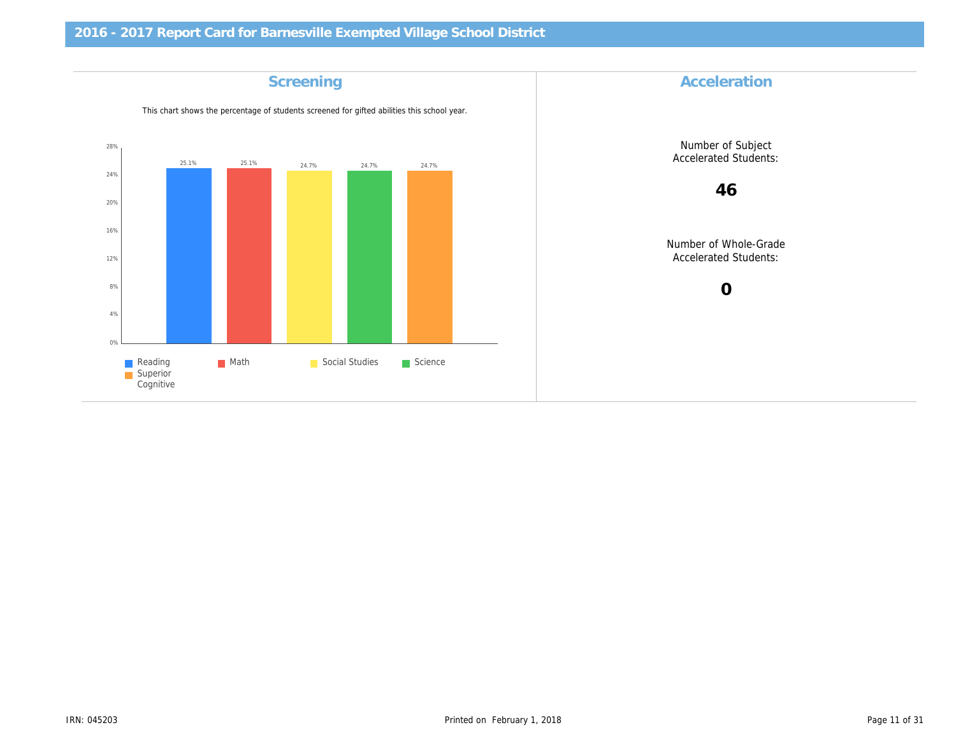| <b>Accelera</b>               | <b>Screening</b>                                                                            |
|-------------------------------|---------------------------------------------------------------------------------------------|
|                               | This chart shows the percentage of students screened for gifted abilities this school year. |
| Number of S<br>Accelerated S  |                                                                                             |
| 46                            |                                                                                             |
| Number of Wh<br>Accelerated S |                                                                                             |
| $\mathbf 0$                   |                                                                                             |
|                               |                                                                                             |
|                               |                                                                                             |
|                               |                                                                                             |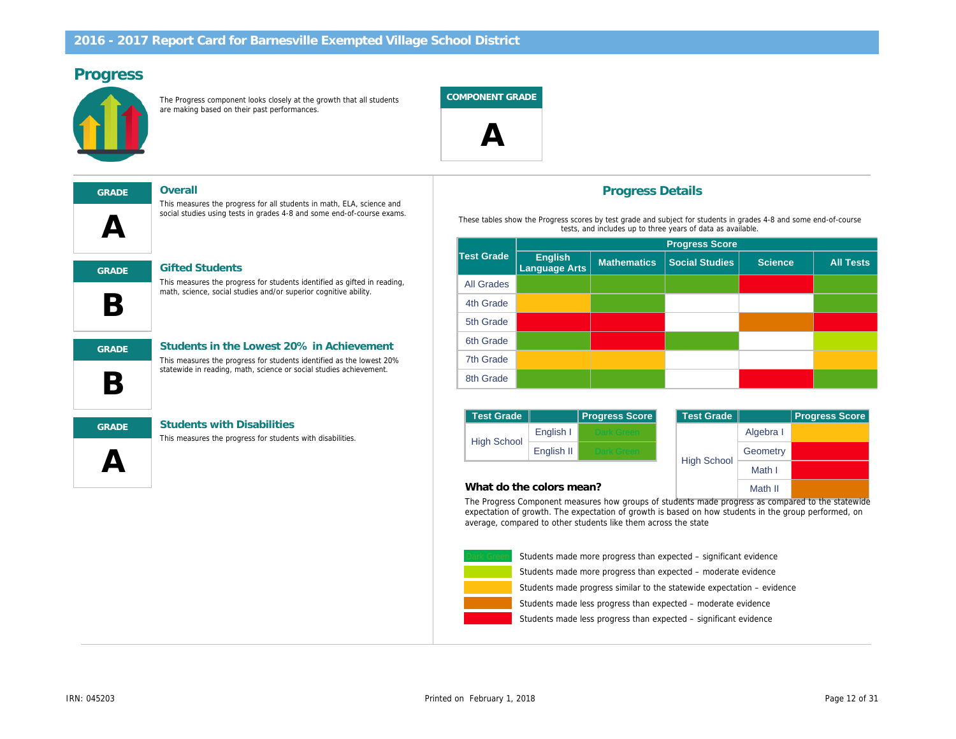# Progress

The Progress component looks closely at the growth that all students are making based on their past performances.

COMPONENT GRADE

 $\boldsymbol{\mathsf{\Delta}}$ 

 $\boldsymbol{\mathsf{A}}$ GRADE Gifted Students

GRADE Overall

This measures the progress for students identified as gifted in reading, math, science, social studies and/or superior cognitive ability.

This measures the progress for students identified as the lowest 20% statewide in reading, math, science or social studies achievement.

This measures the progress for all students in math, ELA, science and social studies using tests in grades 4-8 and some end-of-course exams.

B GRADE Students in the Lowest 20% in Achievement

 $\Delta$ 

B

### GRADE Students with Disabilities

This measures the progress for students with disabilities.

### Progress Details

These tables show the Progress scores by test grade and subject for students in tests, and includes up to three years of data as available.

|                   | <b>Progress Score</b>    |                    |                       |  |  |
|-------------------|--------------------------|--------------------|-----------------------|--|--|
| <b>Test Grade</b> | English<br>Language Arts | <b>Mathematics</b> | <b>Social Studies</b> |  |  |
| <b>All Grades</b> |                          |                    |                       |  |  |
| 4th Grade         |                          |                    |                       |  |  |
| 5th Grade         |                          |                    |                       |  |  |
| 6th Grade         |                          |                    |                       |  |  |
| 7th Grade         |                          |                    |                       |  |  |
| 8th Grade         |                          |                    |                       |  |  |

| <b>Test Grade</b>  |            | <b>Progress Score</b> | <b>Test Grade</b>  |
|--------------------|------------|-----------------------|--------------------|
| <b>High School</b> | English I  | ark Green             |                    |
|                    | English II | <b>Talk Green</b>     |                    |
|                    |            |                       | <b>High School</b> |

#### What do the colors mean?

The Progress Component measures how groups of students made prog expectation of growth. The expectation of growth is based on how students in the group performance as  $n = 1$ average, compared to other students like them across the state



Students made less progress than expected  $-$  significant Students made less progress than expected – moderate Students made progress similar to the statewide expecta Students made more progress than expected – moderate Students made more progress than expected – significant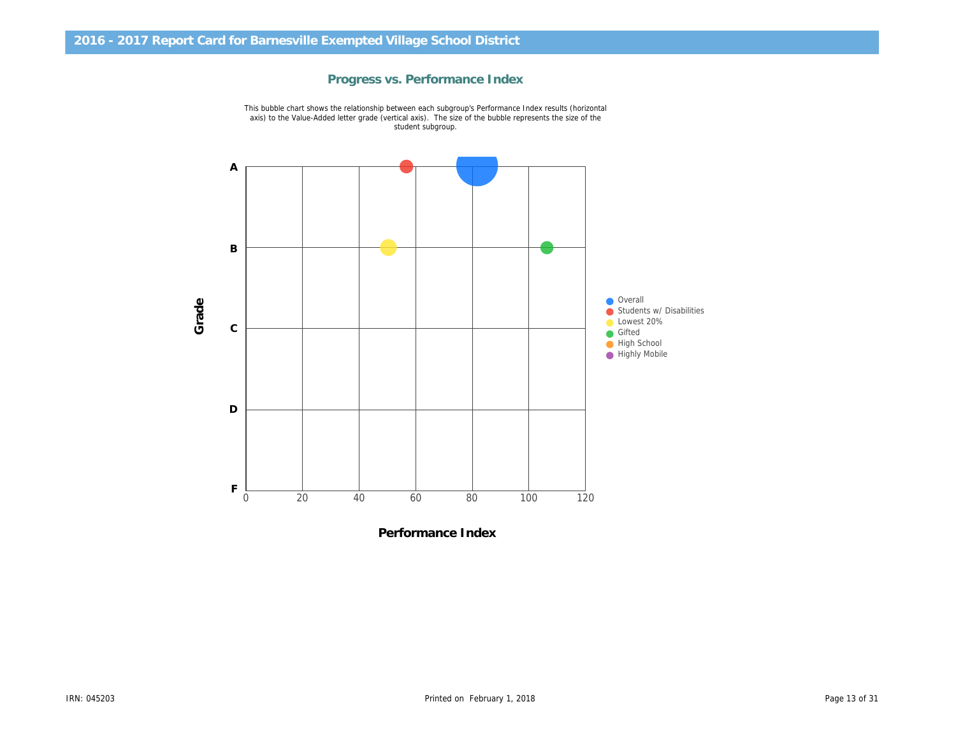

Progress vs. Performance Index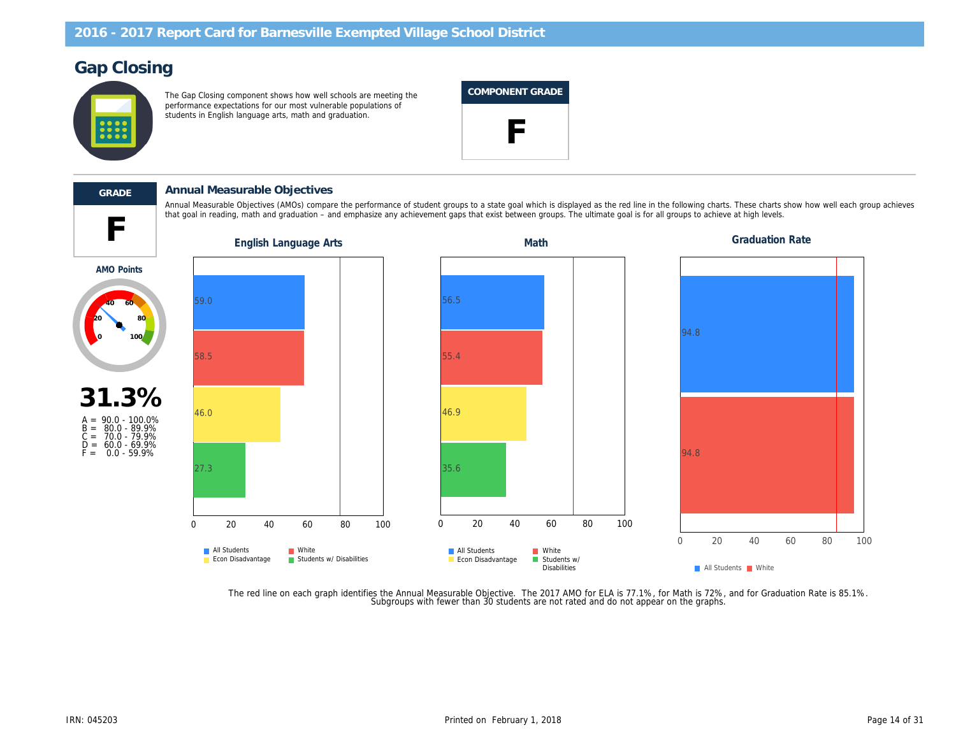# Gap Closing

The Gap Closing component shows how well schools are meeting the performance expectations for our most vulnerable populations of students in English language arts, math and graduation.

### COMPONENT GRADE





AMO Points

### GRADE Annual Measurable Objectives

that goal in reading, math and graduation – and emphasize any achievement gaps that exist between groups. The ultimate goal is for all groups to achieve at high levels at high levels. The ultimate goal is for all groups t Annual Measurable Objectives (AMOs) compare the performance of student groups to a state goal which is displayed as the red line in the following charts. These charts of the following charts of the red each group achieves

31.3%

A = 90.0 - 100.0% B = 80.0 - 89.9% C = 70.0 - 79.9% D = 60.0 - 69.9% F = 0.0 - 59.9%

The red line on each graph identifies the Annual Measurable Objective. The 2017 AMO for ELA is 77.1%, for Math is 72%, an<br>Subgroups with fewer than 30 students are not rated and do not appear on the graphs.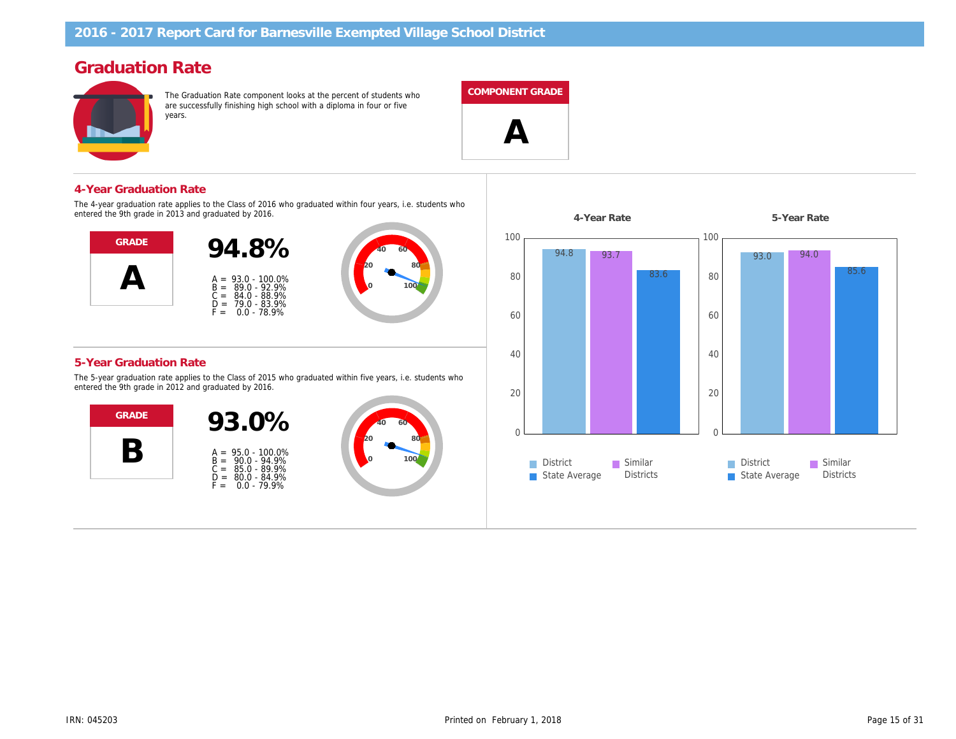# Graduation Rate

The Graduation Rate component looks at the percent of students who are successfully finishing high school with a diploma in four or five years.

#### COMPONENT GRADE

 $\boldsymbol{\mathsf{A}}$ 

4-Year Graduation Rate

The 4-year graduation rate applies to the Class of 2016 who graduated within four years, i.e. students who entered the 9th grade in 2013 and graduated by 2016.



#### 5-Year Graduation Rate

The 5-year graduation rate applies to the Class of 2015 who graduated within five years, i.e. students who entered the 9th grade in 2012 and graduated by 2016.



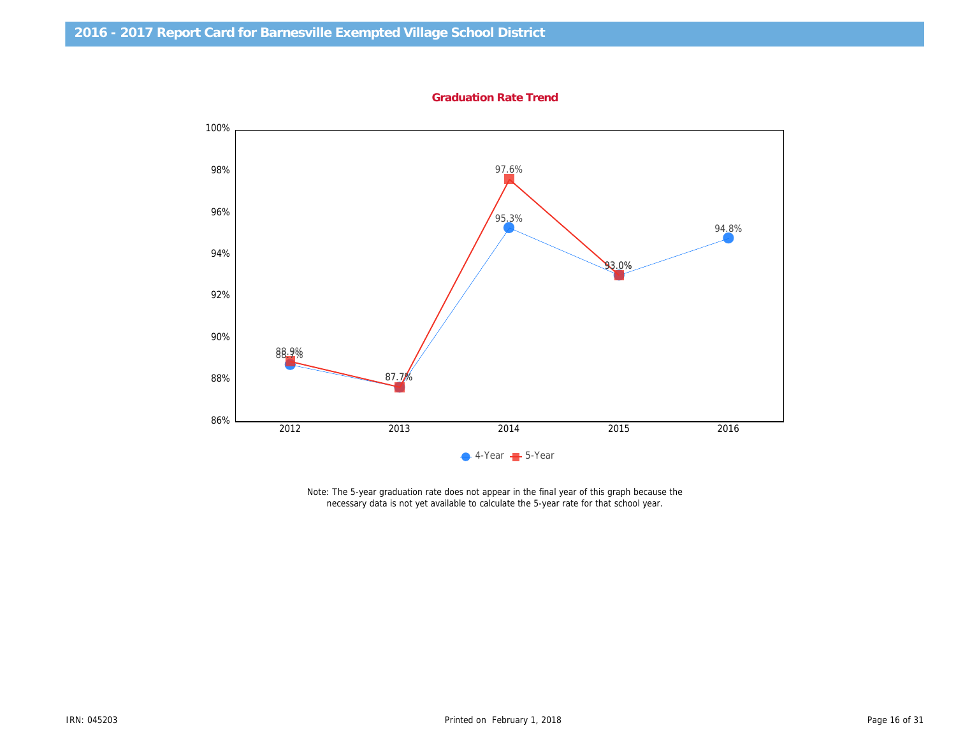Graduation Rate Trend

Note: The 5-year graduation rate does not appear in the final year of this graph because the necessary data is not yet available to calculate the 5-year rate for that school year.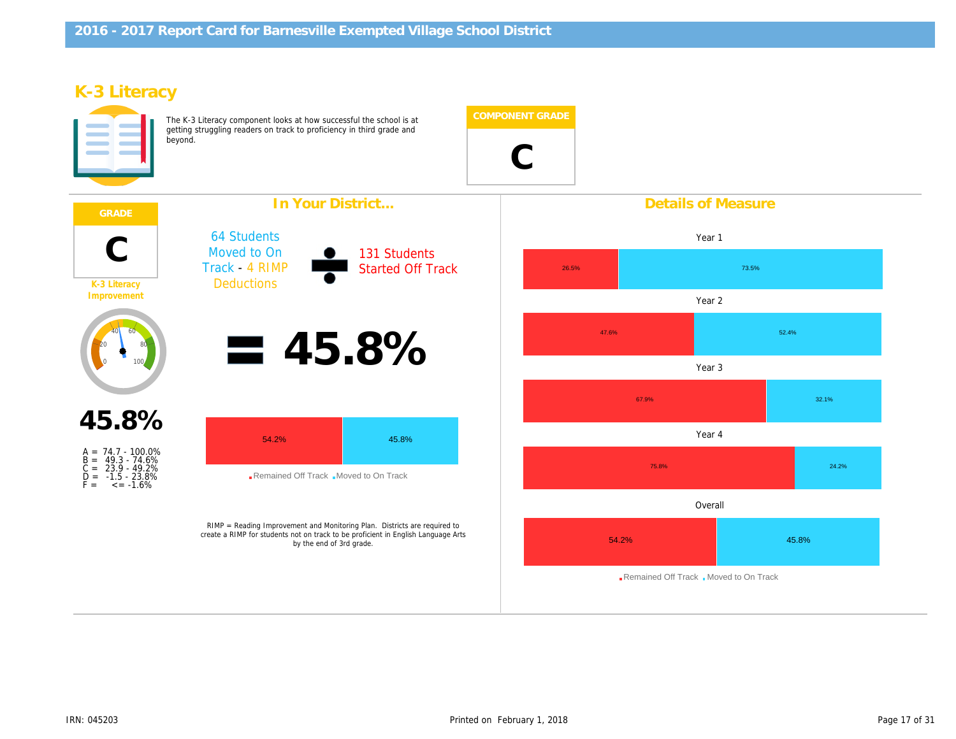# K-3 Literacy

The K-3 Literacy component looks at how successful the school is at getting struggling readers on track to proficiency in third grade and beyond.

C

|                                                                                                        | In Your District                                                         | <b>Details of Meas</b>                                                                                                                                                                     |                             |
|--------------------------------------------------------------------------------------------------------|--------------------------------------------------------------------------|--------------------------------------------------------------------------------------------------------------------------------------------------------------------------------------------|-----------------------------|
| $\mathsf C$<br>K-3 Literacy<br>Improvement                                                             | <b>64 Students</b><br>Moved to On<br>Track - 4 RIMP<br><b>Deductions</b> | <b>131 Students</b><br><b>Started Off Track</b>                                                                                                                                            | Year 1<br>Year <sub>2</sub> |
|                                                                                                        |                                                                          |                                                                                                                                                                                            |                             |
|                                                                                                        |                                                                          | 45.8%                                                                                                                                                                                      | Year <sub>3</sub>           |
| 45.8%                                                                                                  |                                                                          |                                                                                                                                                                                            |                             |
|                                                                                                        |                                                                          |                                                                                                                                                                                            | Year 4                      |
| A = 74.7 - 100.0%<br>B = 49.3 - 74.6%<br>C = 23.9 - 49.2%<br>D = -1.5 - 23.8%<br>$\le -1.6\%$<br>$F =$ |                                                                          |                                                                                                                                                                                            |                             |
|                                                                                                        |                                                                          |                                                                                                                                                                                            | Overall                     |
|                                                                                                        |                                                                          | RIMP = Reading Improvement and Monitoring Plan. Districts are required to<br>create a RIMP for students not on track to be proficient in English Language Arts<br>by the end of 3rd grade. |                             |
|                                                                                                        |                                                                          |                                                                                                                                                                                            |                             |
|                                                                                                        |                                                                          |                                                                                                                                                                                            |                             |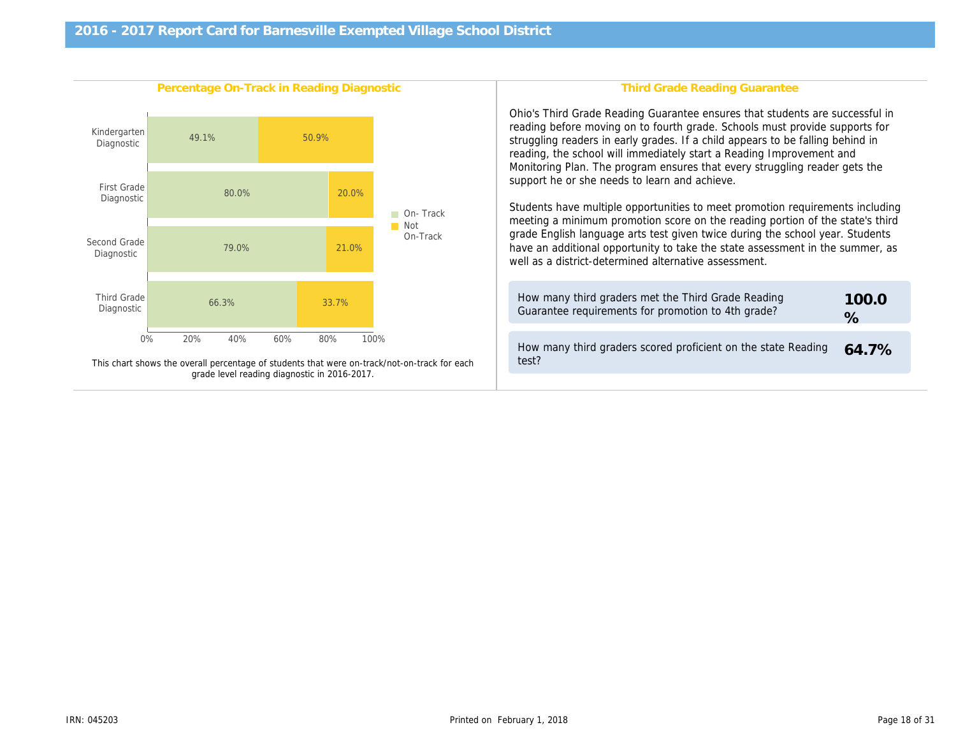| Percentage On-Track in Reading Diagnostic                                                    | <b>Third Grade Reading Gr</b>                                                                                                                                                                                                                                                                                                                                                                                                                                                                                                                                         |
|----------------------------------------------------------------------------------------------|-----------------------------------------------------------------------------------------------------------------------------------------------------------------------------------------------------------------------------------------------------------------------------------------------------------------------------------------------------------------------------------------------------------------------------------------------------------------------------------------------------------------------------------------------------------------------|
|                                                                                              | Ohio's Third Grade Reading Guarantee ensure<br>reading before moving on to fourth grade. Scho<br>struggling readers in early grades. If a child ap<br>reading, the school will immediately start a Rea<br>Monitoring Plan. The program ensures that eve<br>support he or she needs to learn and achieve.<br>Students have multiple opportunities to meet p<br>meeting a minimum promotion score on the rea<br>grade English language arts test given twice di<br>have an additional opportunity to take the state<br>well as a district-determined alternative assess |
|                                                                                              | How many third graders met the Third Grade<br>Guarantee requirements for promotion to 4th                                                                                                                                                                                                                                                                                                                                                                                                                                                                             |
| This chart shows the overall percentage of students that were on-track/not-on-track for each | How many third graders scored proficient on<br>test?                                                                                                                                                                                                                                                                                                                                                                                                                                                                                                                  |
| grade level reading diagnostic in 2016-2017.                                                 |                                                                                                                                                                                                                                                                                                                                                                                                                                                                                                                                                                       |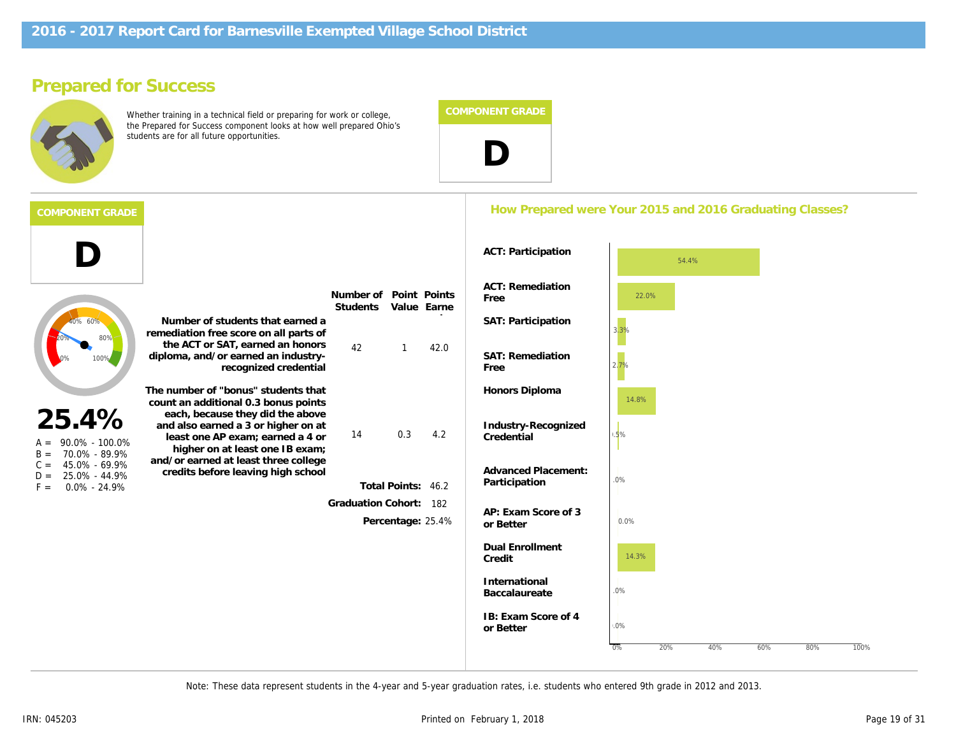# Prepared for Success

D

Whether training in a technical field or preparing for work or college, the Prepared for Success component looks at how well prepared Ohio's students are for all future opportunities.



### How Prepared were Your 2015 and 2016 Graduating

|                                                                                                                                                                                                                                                                                                                                                                             | Number of students that earned a<br>remediation free score on all parts of                       | Number of<br><b>Students</b>                | Value       | Point Points<br>Earne             | <b>ACT: Remediation</b><br>Free<br>SAT: Participation |
|-----------------------------------------------------------------------------------------------------------------------------------------------------------------------------------------------------------------------------------------------------------------------------------------------------------------------------------------------------------------------------|--------------------------------------------------------------------------------------------------|---------------------------------------------|-------------|-----------------------------------|-------------------------------------------------------|
|                                                                                                                                                                                                                                                                                                                                                                             | the ACT or SAT, earned an honors<br>diploma, and/or earned an industry-<br>recognized credential | 42                                          | 1           | 42.0                              | <b>SAT: Remediation</b><br>Free                       |
|                                                                                                                                                                                                                                                                                                                                                                             | The number of "bonus" students that<br>count an additional 0.3 bonus points                      |                                             |             |                                   | Honors Diploma                                        |
| each, because they did the above<br>25.4%<br>and also earned a 3 or higher on at<br>least one AP exam; earned a 4 or<br>90.0% - 100.0%<br>$A =$<br>higher on at least one IB exam;<br>70.0% - 89.9%<br>$B =$<br>and/or earned at least three college<br>45.0% - 69.9%<br>$C =$<br>credits before leaving high school<br>25.0% - 44.9%<br>$D =$<br>$0.0\% - 24.9\%$<br>$F =$ | 14                                                                                               | 0.3                                         | 4.2         | Industry-Recognized<br>Credential |                                                       |
|                                                                                                                                                                                                                                                                                                                                                                             | <b>Total Points:</b><br>46.2                                                                     | <b>Advanced Placement:</b><br>Participation |             |                                   |                                                       |
|                                                                                                                                                                                                                                                                                                                                                                             |                                                                                                  | <b>Graduation Cohort:</b>                   | Percentage: | 182<br>25.4%                      | AP: Exam Score of 3<br>or Better                      |
|                                                                                                                                                                                                                                                                                                                                                                             |                                                                                                  |                                             |             |                                   | <b>Dual Enrollment</b><br>Credit                      |
|                                                                                                                                                                                                                                                                                                                                                                             |                                                                                                  |                                             |             |                                   | International<br><b>Baccalaureate</b>                 |
|                                                                                                                                                                                                                                                                                                                                                                             |                                                                                                  |                                             |             |                                   | IB: Exam Score of 4<br>or Better                      |

Note: These data represent students in the 4-year and 5-year graduation rates, i.e. students who entered 9th grade in 2012 and 2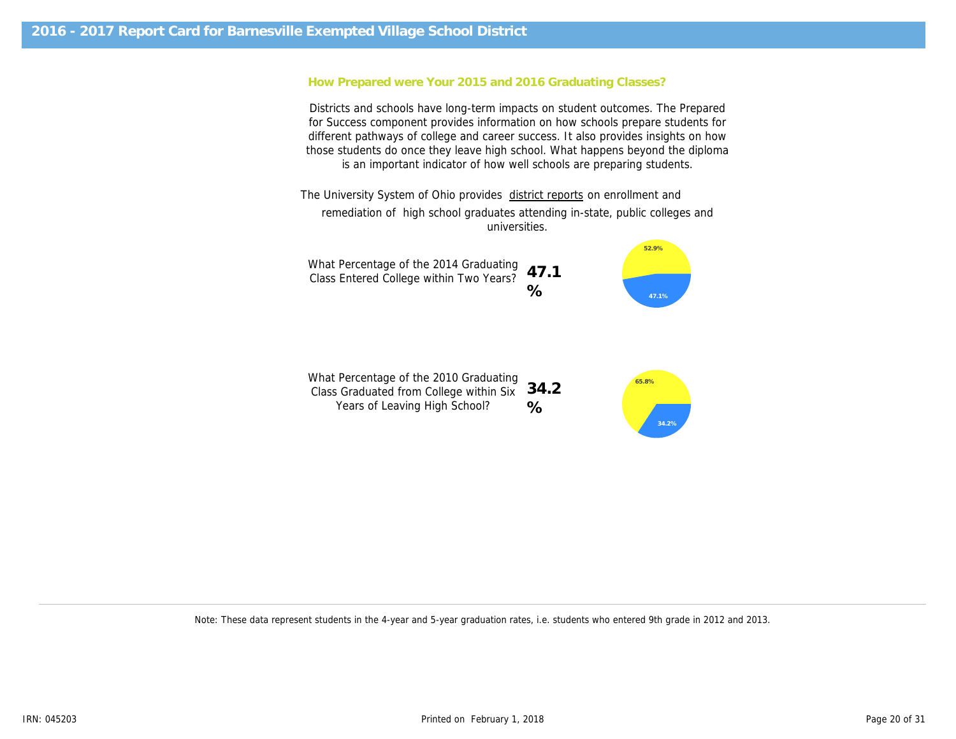### How Prepared were Your 2015 and 2016 Graduating Classes?

Districts and schools have long-term impacts on student outcomes. The Prepared for Success component provides information on how schools prepare students for different pathways of college and career success. It also provides insights on how those students do once they leave high school. What happens beyond the diploma is an important indicator of how well schools are preparing students.

The University System of Ohio provides district reports on enrollment and remediation of high school graduates attending in-state, public colleges and universities.

What Percentage of the 2014 Graduating Class Entered College within Two Years? 47.1 %

What Percentage of the 2010 Graduating Class Graduated from College within Six 34.2 Years of Leaving High School?  $\frac{0}{0}$ 

Note: These data represent students in the 4-year and 5-year graduation rates, i.e. students who entered 9th grade in 2012 and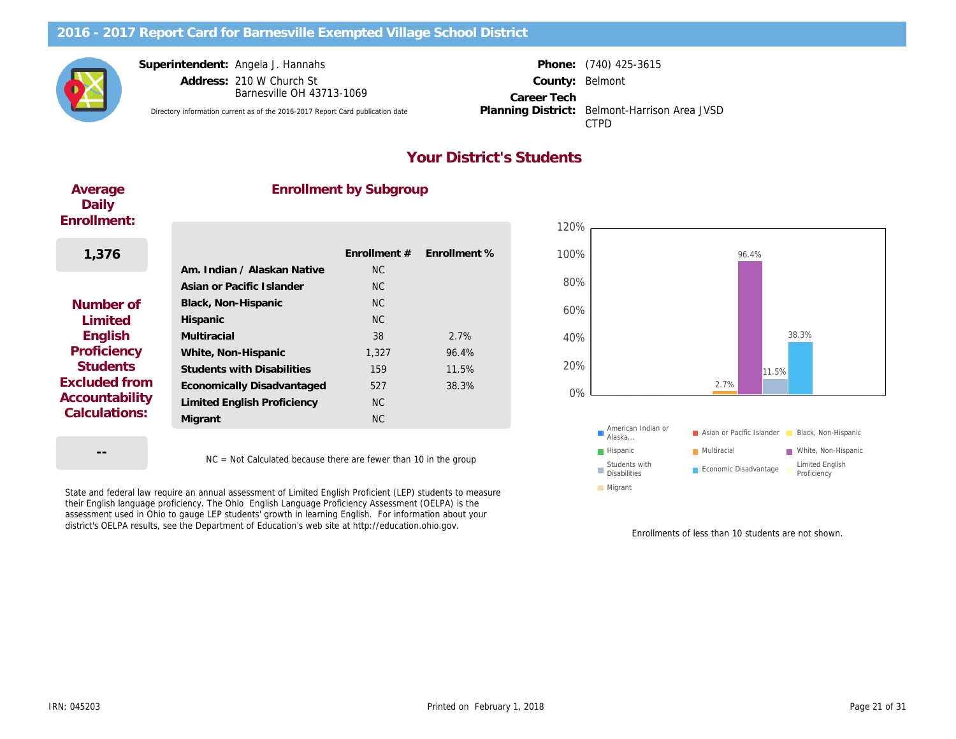Superintendent: Angela J. Hannahs

Barnesville OH 43713-1069

Directory information current as of the 2016-2017 Report Card publication date Planning District: Belmont-Harrison Area JVSD

Address: 210 W Church St County: Career Tech Planning District:

Phone: (740) 425-3615 Belmont CTPD

## Your District's Students

Average Daily Enrollment:

### Enrollment by Subgroup

| 1,376                 |                                    | <b>Enrollment #</b> | <b>Enrollment %</b> |
|-----------------------|------------------------------------|---------------------|---------------------|
|                       | Am. Indian / Alaskan Native        | NC.                 |                     |
|                       | Asian or Pacific Islander          | NC.                 |                     |
| Number of             | Black, Non-Hispanic                | NC.                 |                     |
| Limited               | Hispanic                           | NC.                 |                     |
| English               | Multiracial                        | 38                  | 2.7%                |
| Proficiency           | White, Non-Hispanic                | 1,327               | 96.4%               |
| <b>Students</b>       | <b>Students with Disabilities</b>  | 159                 | 11.5%               |
| <b>Excluded from</b>  | Economically Disadvantaged         | 527                 | 38.3%               |
| <b>Accountability</b> | <b>Limited English Proficiency</b> | NC.                 |                     |
| Calculations:         | Migrant                            | <b>NC</b>           |                     |
|                       |                                    |                     |                     |

--

NC = Not Calculated because there are fewer than 10 in the group

State and federal law require an annual assessment of Limited English Proficient (LEP) students to measure their English language proficiency. The Ohio English Language Proficiency Assessment (OELPA) is the assessment used in Ohio to gauge LEP students' growth in learning English. For information about your district's OELPA results, see the Department of Education's web site at http://education.ohio.gov.

Enrollments of less than 1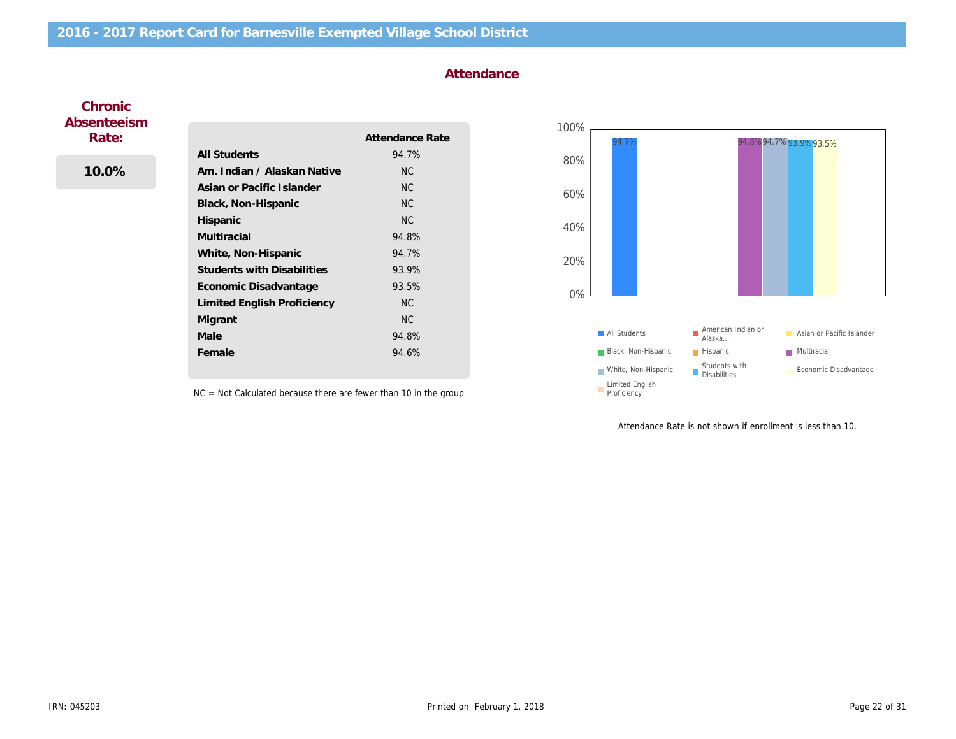### Attendance

### **Chronic** Absenteeism Rate:

### 10.0%

|                                   | Attendance Rate |
|-----------------------------------|-----------------|
| All Students                      | 94.7%           |
| Am. Indian / Alaskan Native       | <b>NC</b>       |
| Asian or Pacific Islander         | <b>NC</b>       |
| Black, Non-Hispanic               | <b>NC</b>       |
| Hispanic                          | <b>NC</b>       |
| Multiracial                       | 94.8%           |
| White, Non-Hispanic               | 94.7%           |
| <b>Students with Disabilities</b> | 93.9%           |
| Economic Disadvantage             | 93.5%           |
| Limited English Proficiency       | <b>NC</b>       |
| Migrant                           | <b>NC</b>       |
| Male                              | 94.8%           |
| Female                            | 94.6%           |
|                                   |                 |

NC = Not Calculated because there are fewer than 10 in the group

Attendance Rate is not shown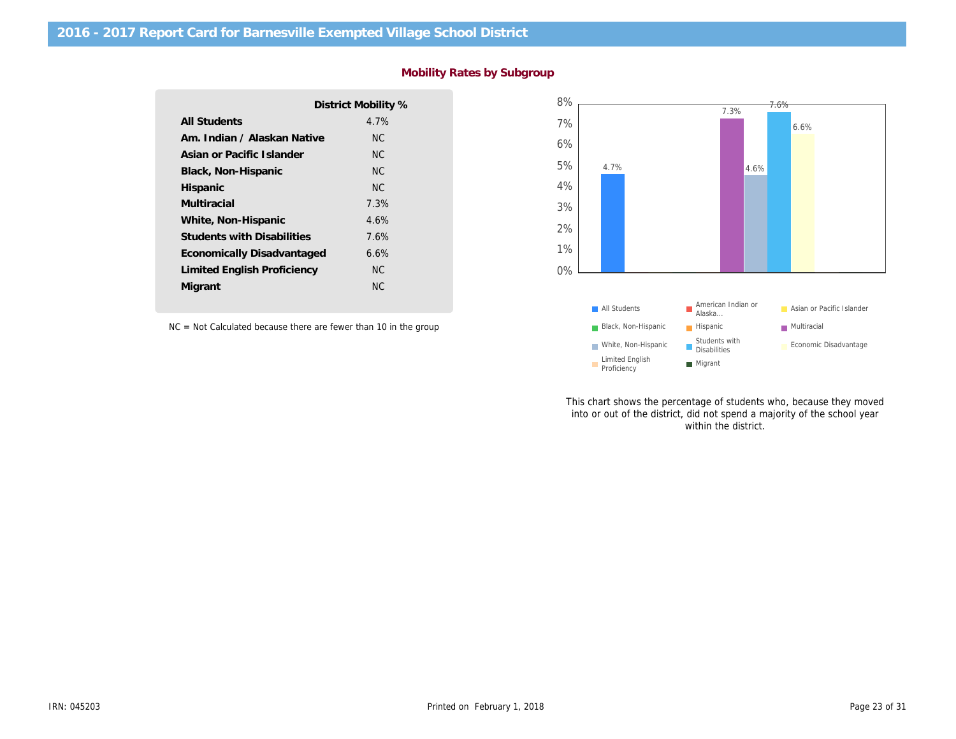|                                   | District Mobility % |
|-----------------------------------|---------------------|
| <b>All Students</b>               | 4.7%                |
| Am. Indian / Alaskan Native       | ΝC                  |
| Asian or Pacific Islander         | NC.                 |
| Black, Non-Hispanic               | ΝC                  |
| Hispanic                          | NC.                 |
| Multiracial                       | 7.3%                |
| White, Non-Hispanic               | 4.6%                |
| <b>Students with Disabilities</b> | 7.6%                |
| Economically Disadvantaged        | 6.6%                |
| Limited English Proficiency       | ΝC                  |
| Migrant                           | NC.                 |
|                                   |                     |

### Mobility Rates by Subgroup

NC = Not Calculated because there are fewer than 10 in the group

This chart shows the percentage of stu into or out of the district, did not spen within the di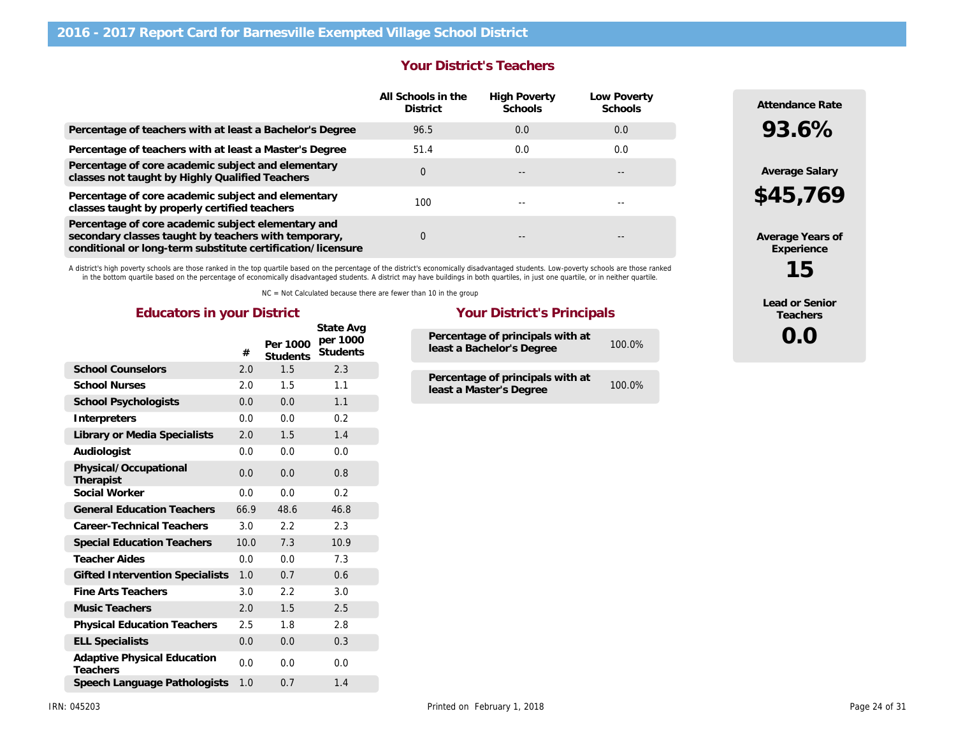|                                                                                                                                                                           | <b>Your District's Teachers</b>       |                                |                        |
|---------------------------------------------------------------------------------------------------------------------------------------------------------------------------|---------------------------------------|--------------------------------|------------------------|
|                                                                                                                                                                           | All Schools in the<br><b>District</b> | <b>High Poverty</b><br>Schools | Low Poverty<br>Schools |
| Percentage of teachers with at least a Bachelor's Degree                                                                                                                  | 96.5                                  | 0.0                            | 0.0                    |
| Percentage of teachers with at least a Master's Degree                                                                                                                    | 51.4                                  | 0.0                            | 0.0                    |
| Percentage of core academic subject and elementary<br>classes not taught by Highly Qualified Teachers                                                                     | $\Omega$                              |                                | $- -$                  |
| Percentage of core academic subject and elementary<br>classes taught by properly certified teachers                                                                       | 100                                   |                                | --                     |
| Percentage of core academic subject elementary and<br>secondary classes taught by teachers with temporary,<br>conditional or long-term substitute certification/licensure | 0                                     |                                |                        |

A district's high poverty schools are those ranked in the top quartile based on the percentage of the district's economically disadvantaged students. Low-poverty schools are those ranked<br>in the bottom quartile based on the

NC = Not Calculated because there are fewer than 10 in the group

### Educators in your District **Your District's Principals**

|                                                | #    | Per 1000<br><b>Students</b> | State Avg<br>per 1000<br><b>Students</b> |  |
|------------------------------------------------|------|-----------------------------|------------------------------------------|--|
| <b>School Counselors</b>                       | 2.0  | 1.5                         | 2.3                                      |  |
| <b>School Nurses</b>                           | 2.0  | 1.5                         | 1.1                                      |  |
| <b>School Psychologists</b>                    | 0.0  | 0.0                         | 1.1                                      |  |
| Interpreters                                   | 0.0  | 0.0                         | 0.2                                      |  |
| Library or Media Specialists                   | 2.0  | 1.5                         | 1.4                                      |  |
| Audiologist                                    | 0.0  | 0.0                         | 0.0                                      |  |
| Physical/Occupational<br>Therapist             | 0.0  | 0.0                         | 0.8                                      |  |
| Social Worker                                  | 0.0  | 0.0                         | 0.2                                      |  |
| <b>General Education Teachers</b>              | 66.9 | 48.6                        | 46.8                                     |  |
| Career-Technical Teachers                      | 3.0  | 2.2                         | 2.3                                      |  |
| <b>Special Education Teachers</b>              | 10.0 | 7.3                         | 10.9                                     |  |
| Teacher Aides                                  | 0.0  | 0.0                         | 7.3                                      |  |
| <b>Gifted Intervention Specialists</b>         | 1.0  | 0.7                         | 0.6                                      |  |
| Fine Arts Teachers                             | 3.0  | 2.2                         | 3.0                                      |  |
| <b>Music Teachers</b>                          | 2.0  | 1.5                         | 2.5                                      |  |
| <b>Physical Education Teachers</b>             | 2.5  | 1.8                         | 2.8                                      |  |
| <b>ELL Specialists</b>                         | 0.0  | 0.0                         | 0.3                                      |  |
| <b>Adaptive Physical Education</b><br>Teachers | 0.0  | 0.0                         | 0.0                                      |  |
| Speech Language Pathologists                   | 1.0  | 0.7                         | 1.4                                      |  |

| Percentage of principals with at<br>least a Bachelor's Degree | 100.0%    |
|---------------------------------------------------------------|-----------|
| Percentage of principals with at<br>least a Master's Degree   | $100.0\%$ |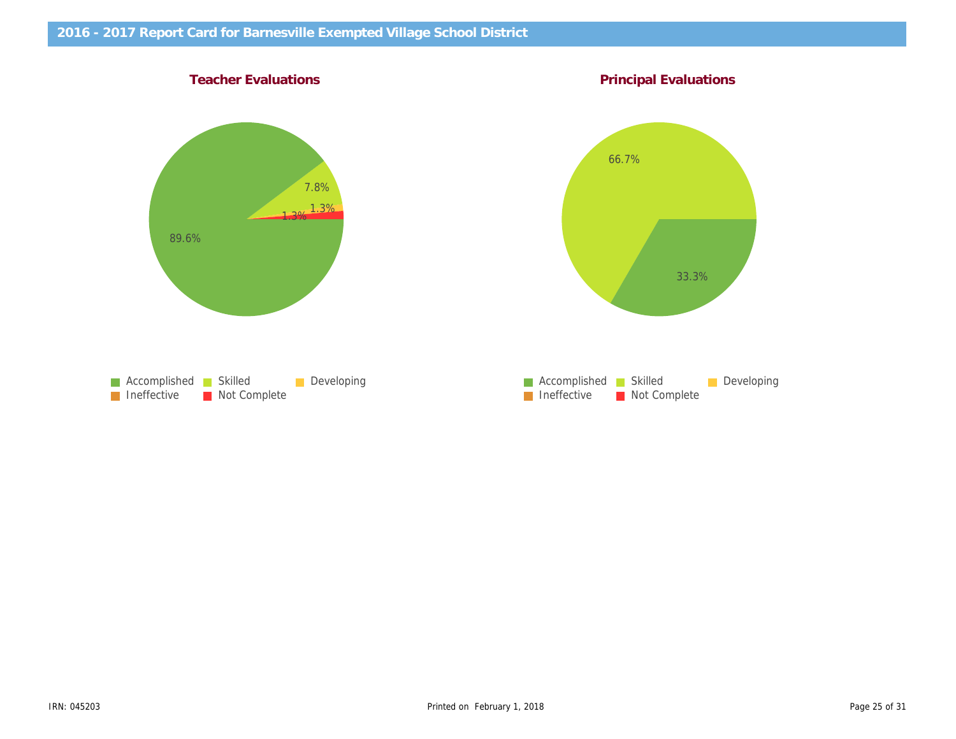Teacher Evaluations **Principal Evaluations** Principal Evaluations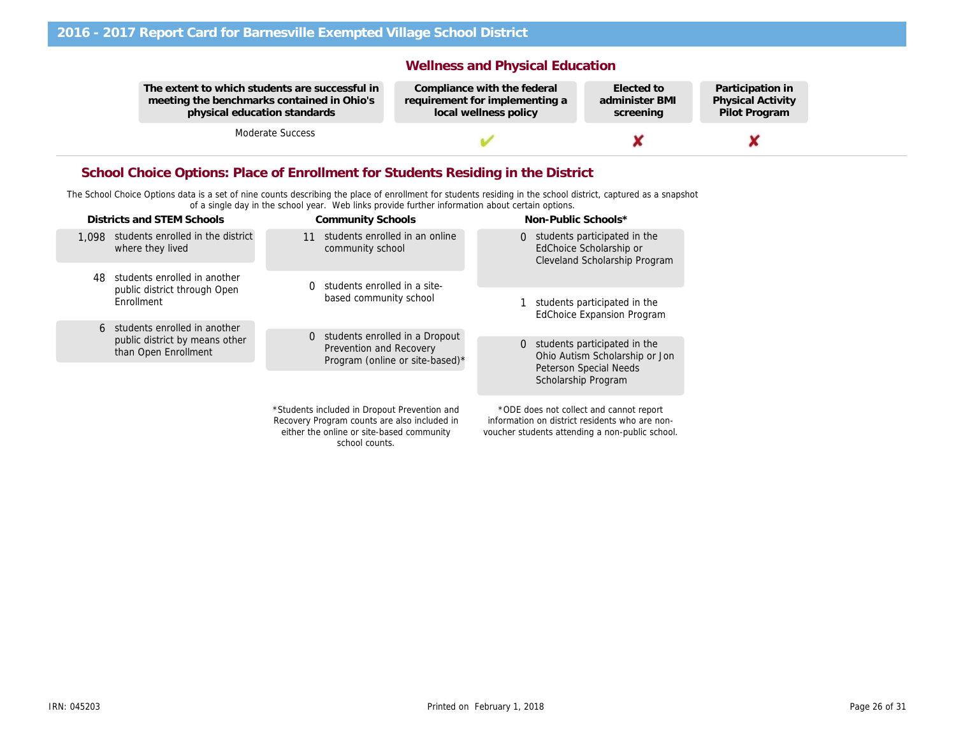The extent to which students are successful in meeting the benchmarks contained in Ohio's physical education standards

Moderate Success

### Wellness and Physical Education

Compliance with the federal requirement for implementing a local wellness policy

Elected to administer BMI screening

Partio Physi Pilot

### School Choice Options: Place of Enrollment for Students Residing in the District

The School Choice Options data is a set of nine counts describing the place of enrollment for students residing in the school district, captured as a snapshot of a single day in the school year. Web links provide further information about certain options.

| Districts and STEM Schools                                     | <b>Community Schools</b>                                                                                                                  | Non-Public Schools*                                                                                                                          |
|----------------------------------------------------------------|-------------------------------------------------------------------------------------------------------------------------------------------|----------------------------------------------------------------------------------------------------------------------------------------------|
| students enrolled in the district<br>1.098<br>where they lived | students enrolled in an online<br>11<br>community school                                                                                  | 0 students participated in the<br>EdChoice Scholarship or<br>Cleveland Scholarship Program                                                   |
| students enrolled in another<br>48                             | students enrolled in a site-<br>0                                                                                                         |                                                                                                                                              |
| public district through Open<br>Enrollment                     | based community school                                                                                                                    | students participated in the<br><b>EdChoice Expansion Program</b>                                                                            |
| students enrolled in another<br>6                              | students enrolled in a Dropout                                                                                                            |                                                                                                                                              |
| public district by means other<br>than Open Enrollment         | 0<br><b>Prevention and Recovery</b><br>Program (online or site-based)*                                                                    | 0 students participated in the<br>Ohio Autism Scholarship or Jon                                                                             |
|                                                                |                                                                                                                                           | <b>Peterson Special Needs</b><br>Scholarship Program                                                                                         |
|                                                                | *Students included in Dropout Prevention and<br>Recovery Program counts are also included in<br>either the online or site-based community | *ODE does not collect and cannot report<br>information on district residents who are non-<br>voucher students attending a non-public school. |

school counts.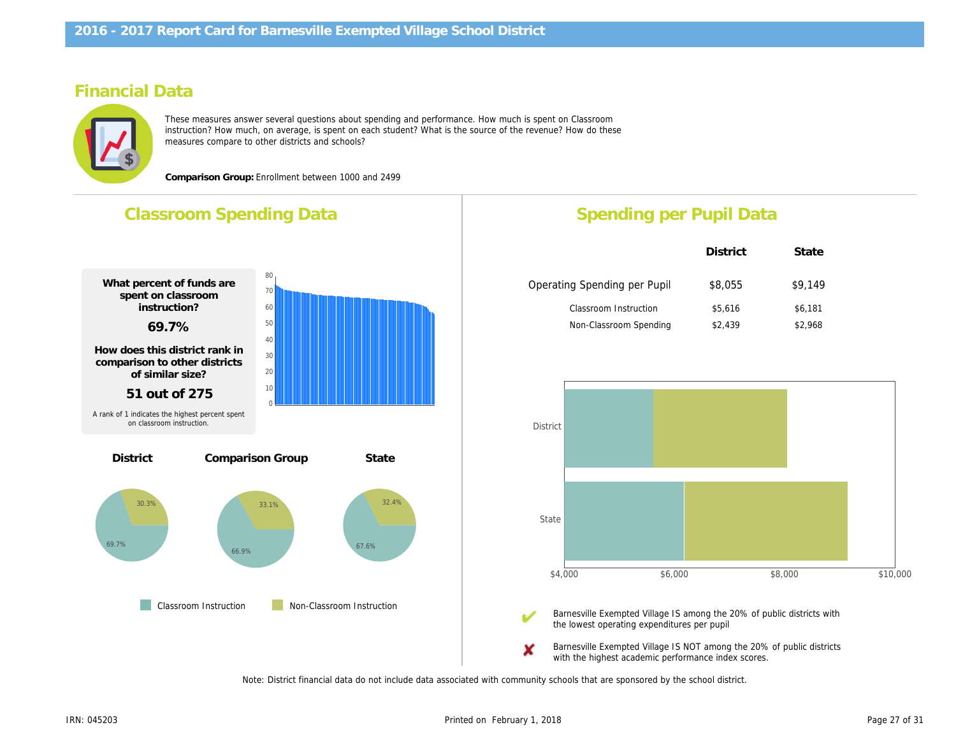# Financial Data

These measures answer several questions about spending and performance. How much is spent on Classroom instruction? How much, on average, is spent on each student? What is the source of the revenue? How do these measures compare to other districts and schools?

Comparison Group: Enrollment between 1000 and 2499



with the highest academic performance index

Note: District financial data do not include data associated with community schools that are sponsored by the school district.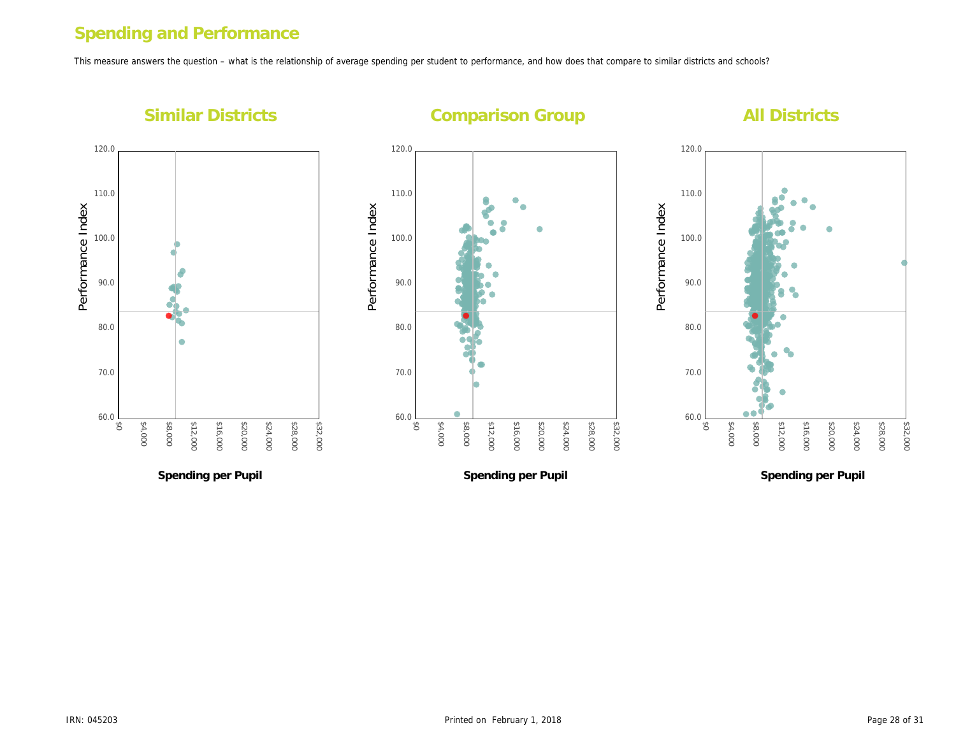# Spending and Performance

This measure answers the question – what is the relationship of average spending per student to performance, and how does that compare to similar districts and s

Performance Index

Performance Index

Similar Districts

# Comparison Group

Performance Index

Performance Index

Spending per Pupil

Spending per Pupil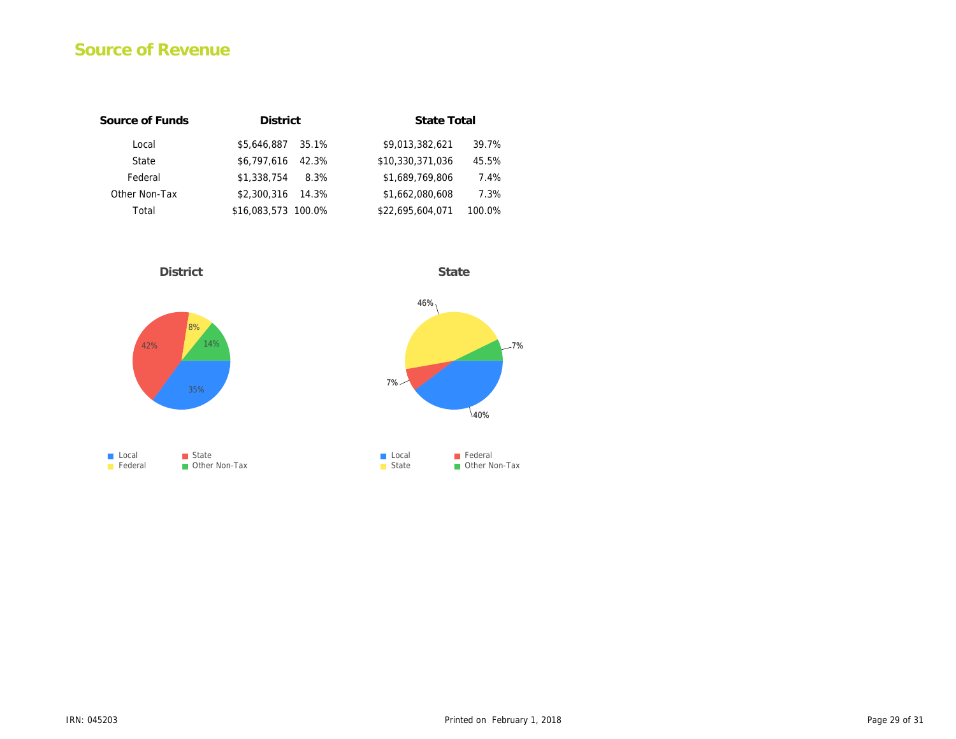# Source of Revenue

| Source of Funds | <b>District</b>      | State Total                |
|-----------------|----------------------|----------------------------|
| Local           | \$5.646.887<br>35.1% | \$9,013,382,621<br>39.7%   |
| State           | \$6,797,616<br>42.3% | \$10,330,371,036<br>45.5%  |
| Federal         | \$1.338.754<br>8.3%  | \$1,689,769,806<br>7.4%    |
| Other Non-Tax   | \$2,300,316<br>14.3% | \$1,662,080,608<br>7.3%    |
| Total           | \$16,083,573 100.0%  | \$22,695,604,071<br>100.0% |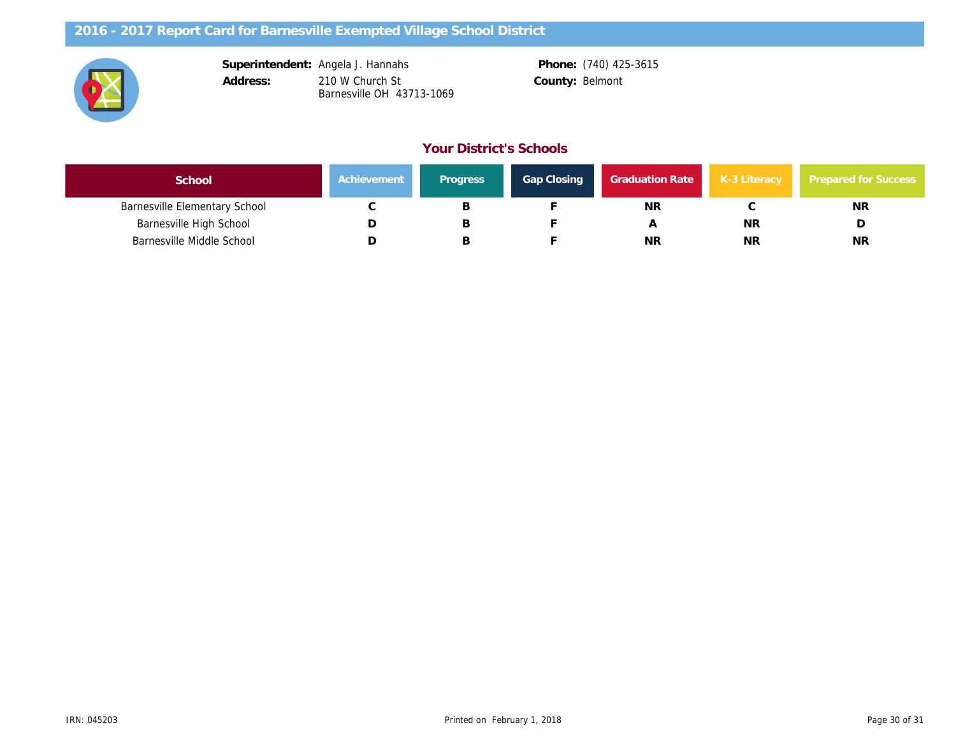| Superintendent: | Angela J. Hannal |
|-----------------|------------------|
| Address:        | 210 W Church St  |
|                 | Barnesville OH 4 |

hs 210 W Church St Barnesville OH 43713-1069

Phone: (740) 425-3615 County: Belmont

### Your District's Schools

| School                               | Achievement | <b>Progress</b> | Gap Closing | <b>Graduation Rate</b> | $K-3$ |
|--------------------------------------|-------------|-----------------|-------------|------------------------|-------|
| <b>Barnesville Elementary School</b> |             | ـــ             |             | <b>NR</b>              |       |
| <b>Barnesville High School</b>       |             | R               |             | A                      |       |
| <b>Barnesville Middle School</b>     |             | D               |             | NR                     |       |